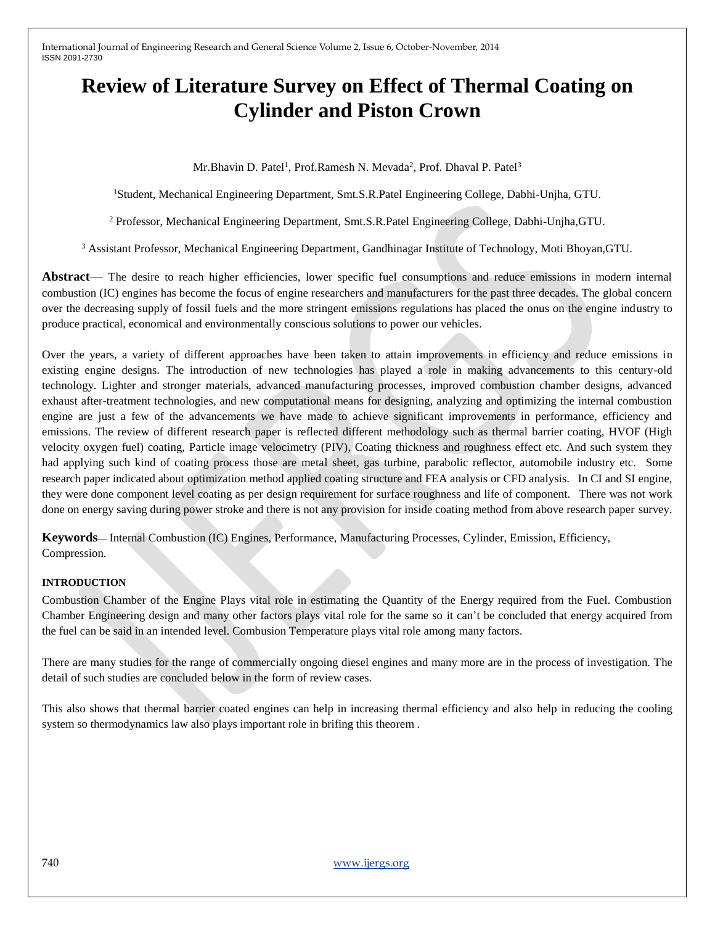# **Review of Literature Survey on Effect of Thermal Coating on Cylinder and Piston Crown**

Mr.Bhavin D. Patel<sup>1</sup>, Prof.Ramesh N. Mevada<sup>2</sup>, Prof. Dhaval P. Patel<sup>3</sup>

<sup>1</sup>Student, Mechanical Engineering Department, Smt.S.R.Patel Engineering College, Dabhi-Unjha, GTU.

<sup>2</sup> Professor, Mechanical Engineering Department, Smt.S.R.Patel Engineering College, Dabhi-Unjha,GTU.

<sup>3</sup> Assistant Professor, Mechanical Engineering Department, Gandhinagar Institute of Technology, Moti Bhoyan,GTU.

**Abstract**— The desire to reach higher efficiencies, lower specific fuel consumptions and reduce emissions in modern internal combustion (IC) engines has become the focus of engine researchers and manufacturers for the past three decades. The global concern over the decreasing supply of fossil fuels and the more stringent emissions regulations has placed the onus on the engine industry to produce practical, economical and environmentally conscious solutions to power our vehicles.

Over the years, a variety of different approaches have been taken to attain improvements in efficiency and reduce emissions in existing engine designs. The introduction of new technologies has played a role in making advancements to this century-old technology. Lighter and stronger materials, advanced manufacturing processes, improved combustion chamber designs, advanced exhaust after-treatment technologies, and new computational means for designing, analyzing and optimizing the internal combustion engine are just a few of the advancements we have made to achieve significant improvements in performance, efficiency and emissions. The review of different research paper is reflected different methodology such as thermal barrier coating, HVOF (High velocity oxygen fuel) coating, Particle image velocimetry (PIV), Coating thickness and roughness effect etc. And such system they had applying such kind of coating process those are metal sheet, gas turbine, parabolic reflector, automobile industry etc. Some research paper indicated about optimization method applied coating structure and FEA analysis or CFD analysis. In CI and SI engine, they were done component level coating as per design requirement for surface roughness and life of component. There was not work done on energy saving during power stroke and there is not any provision for inside coating method from above research paper survey.

**Keywords**— Internal Combustion (IC) Engines, Performance, Manufacturing Processes, Cylinder, Emission, Efficiency, Compression.

### **INTRODUCTION**

Combustion Chamber of the Engine Plays vital role in estimating the Quantity of the Energy required from the Fuel. Combustion Chamber Engineering design and many other factors plays vital role for the same so it can't be concluded that energy acquired from the fuel can be said in an intended level. Combusion Temperature plays vital role among many factors.

There are many studies for the range of commercially ongoing diesel engines and many more are in the process of investigation. The detail of such studies are concluded below in the form of review cases.

This also shows that thermal barrier coated engines can help in increasing thermal efficiency and also help in reducing the cooling system so thermodynamics law also plays important role in brifing this theorem .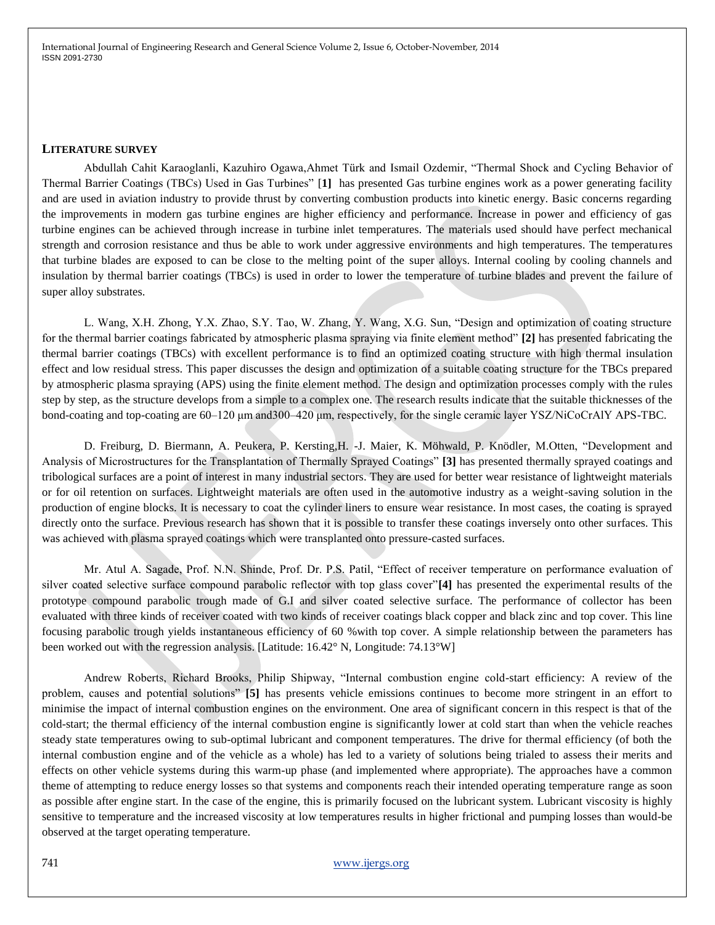#### **LITERATURE SURVEY**

Abdullah Cahit Karaoglanli, Kazuhiro Ogawa,Ahmet Türk and Ismail Ozdemir, "Thermal Shock and Cycling Behavior of Thermal Barrier Coatings (TBCs) Used in Gas Turbines" [**1]** has presented Gas turbine engines work as a power generating facility and are used in aviation industry to provide thrust by converting combustion products into kinetic energy. Basic concerns regarding the improvements in modern gas turbine engines are higher efficiency and performance. Increase in power and efficiency of gas turbine engines can be achieved through increase in turbine inlet temperatures. The materials used should have perfect mechanical strength and corrosion resistance and thus be able to work under aggressive environments and high temperatures. The temperatures that turbine blades are exposed to can be close to the melting point of the super alloys. Internal cooling by cooling channels and insulation by thermal barrier coatings (TBCs) is used in order to lower the temperature of turbine blades and prevent the failure of super alloy substrates.

L. Wang, X.H. Zhong, Y.X. Zhao, S.Y. Tao, W. Zhang, Y. Wang, X.G. Sun, "Design and optimization of coating structure for the thermal barrier coatings fabricated by atmospheric plasma spraying via finite element method" **[2]** has presented fabricating the thermal barrier coatings (TBCs) with excellent performance is to find an optimized coating structure with high thermal insulation effect and low residual stress. This paper discusses the design and optimization of a suitable coating structure for the TBCs prepared by atmospheric plasma spraying (APS) using the finite element method. The design and optimization processes comply with the rules step by step, as the structure develops from a simple to a complex one. The research results indicate that the suitable thicknesses of the bond-coating and top-coating are 60–120 μm and300–420 μm, respectively, for the single ceramic layer YSZ/NiCoCrAlY APS-TBC.

D. Freiburg, D. Biermann, A. Peukera, P. Kersting,H. -J. Maier, K. Möhwald, P. Knödler, M.Otten, "Development and Analysis of Microstructures for the Transplantation of Thermally Sprayed Coatings" **[3]** has presented thermally sprayed coatings and tribological surfaces are a point of interest in many industrial sectors. They are used for better wear resistance of lightweight materials or for oil retention on surfaces. Lightweight materials are often used in the automotive industry as a weight-saving solution in the production of engine blocks. It is necessary to coat the cylinder liners to ensure wear resistance. In most cases, the coating is sprayed directly onto the surface. Previous research has shown that it is possible to transfer these coatings inversely onto other surfaces. This was achieved with plasma sprayed coatings which were transplanted onto pressure-casted surfaces.

Mr. Atul A. Sagade, Prof. N.N. Shinde, Prof. Dr. P.S. Patil, "Effect of receiver temperature on performance evaluation of silver coated selective surface compound parabolic reflector with top glass cover"**[4]** has presented the experimental results of the prototype compound parabolic trough made of G.I and silver coated selective surface. The performance of collector has been evaluated with three kinds of receiver coated with two kinds of receiver coatings black copper and black zinc and top cover. This line focusing parabolic trough yields instantaneous efficiency of 60 %with top cover. A simple relationship between the parameters has been worked out with the regression analysis. [Latitude: 16.42° N, Longitude: 74.13°W]

Andrew Roberts, Richard Brooks, Philip Shipway, "Internal combustion engine cold-start efficiency: A review of the problem, causes and potential solutions" **[5]** has presents vehicle emissions continues to become more stringent in an effort to minimise the impact of internal combustion engines on the environment. One area of significant concern in this respect is that of the cold-start; the thermal efficiency of the internal combustion engine is significantly lower at cold start than when the vehicle reaches steady state temperatures owing to sub-optimal lubricant and component temperatures. The drive for thermal efficiency (of both the internal combustion engine and of the vehicle as a whole) has led to a variety of solutions being trialed to assess their merits and effects on other vehicle systems during this warm-up phase (and implemented where appropriate). The approaches have a common theme of attempting to reduce energy losses so that systems and components reach their intended operating temperature range as soon as possible after engine start. In the case of the engine, this is primarily focused on the lubricant system. Lubricant viscosity is highly sensitive to temperature and the increased viscosity at low temperatures results in higher frictional and pumping losses than would-be observed at the target operating temperature.

## 741 [www.ijergs.org](http://www.ijergs.org/)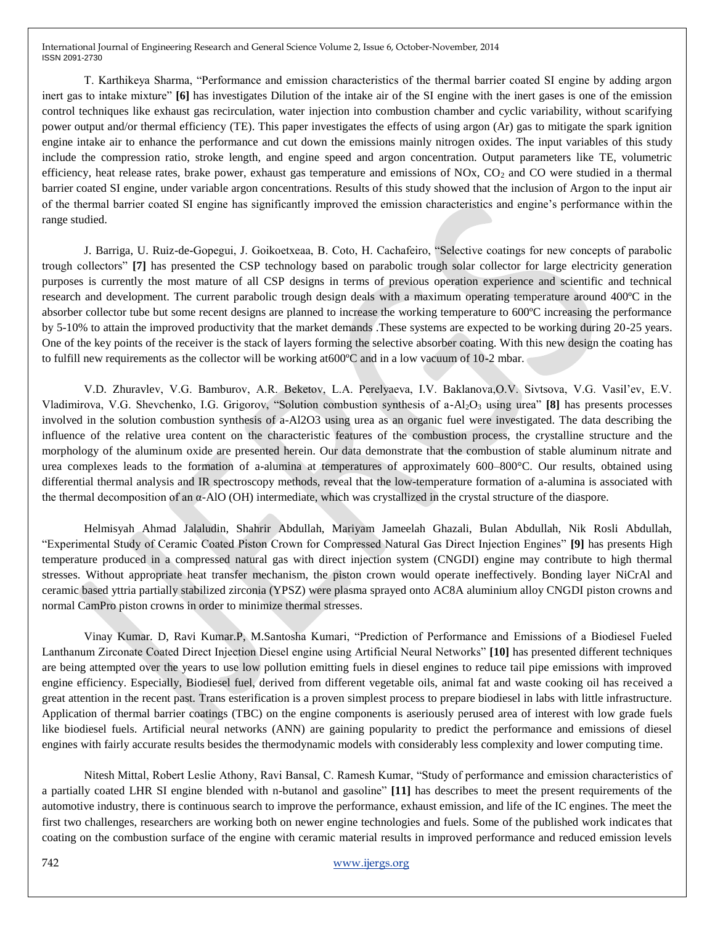T. Karthikeya Sharma, "Performance and emission characteristics of the thermal barrier coated SI engine by adding argon inert gas to intake mixture" **[6]** has investigates Dilution of the intake air of the SI engine with the inert gases is one of the emission control techniques like exhaust gas recirculation, water injection into combustion chamber and cyclic variability, without scarifying power output and/or thermal efficiency (TE). This paper investigates the effects of using argon (Ar) gas to mitigate the spark ignition engine intake air to enhance the performance and cut down the emissions mainly nitrogen oxides. The input variables of this study include the compression ratio, stroke length, and engine speed and argon concentration. Output parameters like TE, volumetric efficiency, heat release rates, brake power, exhaust gas temperature and emissions of  $NOx$ ,  $CO<sub>2</sub>$  and  $CO$  were studied in a thermal barrier coated SI engine, under variable argon concentrations. Results of this study showed that the inclusion of Argon to the input air of the thermal barrier coated SI engine has significantly improved the emission characteristics and engine's performance within the range studied.

J. Barriga, U. Ruiz-de-Gopegui, J. Goikoetxeaa, B. Coto, H. Cachafeiro, "Selective coatings for new concepts of parabolic trough collectors" **[7]** has presented the CSP technology based on parabolic trough solar collector for large electricity generation purposes is currently the most mature of all CSP designs in terms of previous operation experience and scientific and technical research and development. The current parabolic trough design deals with a maximum operating temperature around 400ºC in the absorber collector tube but some recent designs are planned to increase the working temperature to 600ºC increasing the performance by 5-10% to attain the improved productivity that the market demands .These systems are expected to be working during 20-25 years. One of the key points of the receiver is the stack of layers forming the selective absorber coating. With this new design the coating has to fulfill new requirements as the collector will be working at600ºC and in a low vacuum of 10-2 mbar.

V.D. Zhuravlev, V.G. Bamburov, A.R. Beketov, L.A. Perelyaeva, I.V. Baklanova,O.V. Sivtsova, V.G. Vasil'ev, E.V. Vladimirova, V.G. Shevchenko, I.G. Grigorov, "Solution combustion synthesis of a-Al2O<sup>3</sup> using urea" **[8]** has presents processes involved in the solution combustion synthesis of a-Al2O3 using urea as an organic fuel were investigated. The data describing the influence of the relative urea content on the characteristic features of the combustion process, the crystalline structure and the morphology of the aluminum oxide are presented herein. Our data demonstrate that the combustion of stable aluminum nitrate and urea complexes leads to the formation of a-alumina at temperatures of approximately 600–800°C. Our results, obtained using differential thermal analysis and IR spectroscopy methods, reveal that the low-temperature formation of a-alumina is associated with the thermal decomposition of an α-AlO (OH) intermediate, which was crystallized in the crystal structure of the diaspore.

Helmisyah Ahmad Jalaludin, Shahrir Abdullah, Mariyam Jameelah Ghazali, Bulan Abdullah, Nik Rosli Abdullah, "Experimental Study of Ceramic Coated Piston Crown for Compressed Natural Gas Direct Injection Engines" **[9]** has presents High temperature produced in a compressed natural gas with direct injection system (CNGDI) engine may contribute to high thermal stresses. Without appropriate heat transfer mechanism, the piston crown would operate ineffectively. Bonding layer NiCrAl and ceramic based yttria partially stabilized zirconia (YPSZ) were plasma sprayed onto AC8A aluminium alloy CNGDI piston crowns and normal CamPro piston crowns in order to minimize thermal stresses.

Vinay Kumar. D, Ravi Kumar.P, M.Santosha Kumari, "Prediction of Performance and Emissions of a Biodiesel Fueled Lanthanum Zirconate Coated Direct Injection Diesel engine using Artificial Neural Networks" **[10]** has presented different techniques are being attempted over the years to use low pollution emitting fuels in diesel engines to reduce tail pipe emissions with improved engine efficiency. Especially, Biodiesel fuel, derived from different vegetable oils, animal fat and waste cooking oil has received a great attention in the recent past. Trans esterification is a proven simplest process to prepare biodiesel in labs with little infrastructure. Application of thermal barrier coatings (TBC) on the engine components is aseriously perused area of interest with low grade fuels like biodiesel fuels. Artificial neural networks (ANN) are gaining popularity to predict the performance and emissions of diesel engines with fairly accurate results besides the thermodynamic models with considerably less complexity and lower computing time.

Nitesh Mittal, Robert Leslie Athony, Ravi Bansal, C. Ramesh Kumar, "Study of performance and emission characteristics of a partially coated LHR SI engine blended with n-butanol and gasoline" **[11]** has describes to meet the present requirements of the automotive industry, there is continuous search to improve the performance, exhaust emission, and life of the IC engines. The meet the first two challenges, researchers are working both on newer engine technologies and fuels. Some of the published work indicates that coating on the combustion surface of the engine with ceramic material results in improved performance and reduced emission levels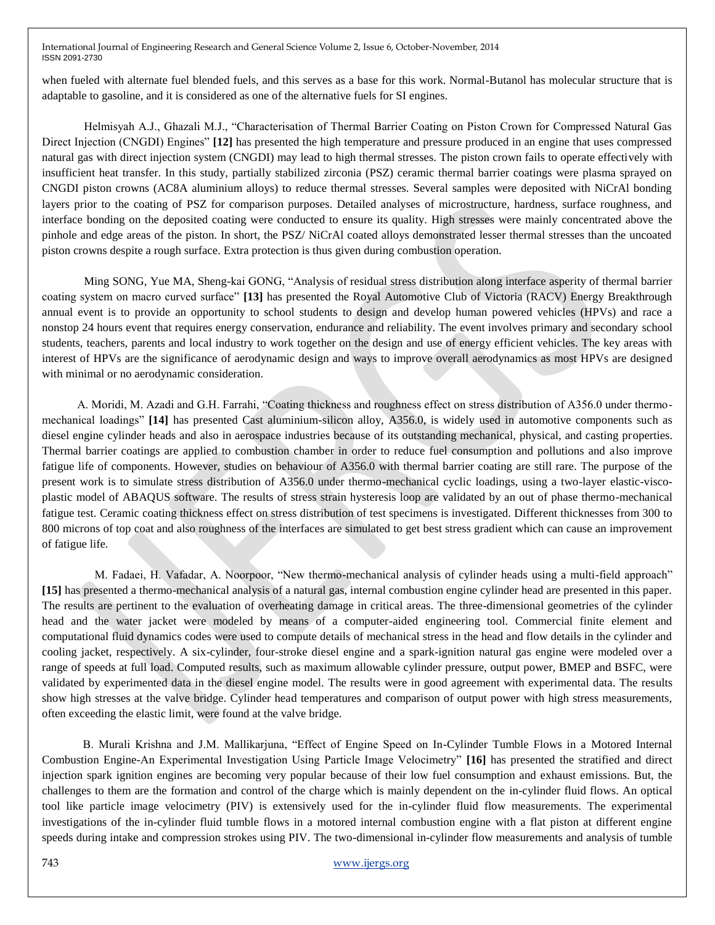when fueled with alternate fuel blended fuels, and this serves as a base for this work. Normal-Butanol has molecular structure that is adaptable to gasoline, and it is considered as one of the alternative fuels for SI engines.

Helmisyah A.J., Ghazali M.J., "Characterisation of Thermal Barrier Coating on Piston Crown for Compressed Natural Gas Direct Injection (CNGDI) Engines" **[12]** has presented the high temperature and pressure produced in an engine that uses compressed natural gas with direct injection system (CNGDI) may lead to high thermal stresses. The piston crown fails to operate effectively with insufficient heat transfer. In this study, partially stabilized zirconia (PSZ) ceramic thermal barrier coatings were plasma sprayed on CNGDI piston crowns (AC8A aluminium alloys) to reduce thermal stresses. Several samples were deposited with NiCrAl bonding layers prior to the coating of PSZ for comparison purposes. Detailed analyses of microstructure, hardness, surface roughness, and interface bonding on the deposited coating were conducted to ensure its quality. High stresses were mainly concentrated above the pinhole and edge areas of the piston. In short, the PSZ/ NiCrAl coated alloys demonstrated lesser thermal stresses than the uncoated piston crowns despite a rough surface. Extra protection is thus given during combustion operation.

Ming SONG, Yue MA, Sheng-kai GONG, "Analysis of residual stress distribution along interface asperity of thermal barrier coating system on macro curved surface" **[13]** has presented the Royal Automotive Club of Victoria (RACV) Energy Breakthrough annual event is to provide an opportunity to school students to design and develop human powered vehicles (HPVs) and race a nonstop 24 hours event that requires energy conservation, endurance and reliability. The event involves primary and secondary school students, teachers, parents and local industry to work together on the design and use of energy efficient vehicles. The key areas with interest of HPVs are the significance of aerodynamic design and ways to improve overall aerodynamics as most HPVs are designed with minimal or no aerodynamic consideration.

 A. Moridi, M. Azadi and G.H. Farrahi, "Coating thickness and roughness effect on stress distribution of A356.0 under thermomechanical loadings" **[14]** has presented Cast aluminium-silicon alloy, A356.0, is widely used in automotive components such as diesel engine cylinder heads and also in aerospace industries because of its outstanding mechanical, physical, and casting properties. Thermal barrier coatings are applied to combustion chamber in order to reduce fuel consumption and pollutions and also improve fatigue life of components. However, studies on behaviour of A356.0 with thermal barrier coating are still rare. The purpose of the present work is to simulate stress distribution of A356.0 under thermo-mechanical cyclic loadings, using a two-layer elastic-viscoplastic model of ABAQUS software. The results of stress strain hysteresis loop are validated by an out of phase thermo-mechanical fatigue test. Ceramic coating thickness effect on stress distribution of test specimens is investigated. Different thicknesses from 300 to 800 microns of top coat and also roughness of the interfaces are simulated to get best stress gradient which can cause an improvement of fatigue life.

 M. Fadaei, H. Vafadar, A. Noorpoor, "New thermo-mechanical analysis of cylinder heads using a multi-field approach" **[15]** has presented a thermo-mechanical analysis of a natural gas, internal combustion engine cylinder head are presented in this paper. The results are pertinent to the evaluation of overheating damage in critical areas. The three-dimensional geometries of the cylinder head and the water jacket were modeled by means of a computer-aided engineering tool. Commercial finite element and computational fluid dynamics codes were used to compute details of mechanical stress in the head and flow details in the cylinder and cooling jacket, respectively. A six-cylinder, four-stroke diesel engine and a spark-ignition natural gas engine were modeled over a range of speeds at full load. Computed results, such as maximum allowable cylinder pressure, output power, BMEP and BSFC, were validated by experimented data in the diesel engine model. The results were in good agreement with experimental data. The results show high stresses at the valve bridge. Cylinder head temperatures and comparison of output power with high stress measurements, often exceeding the elastic limit, were found at the valve bridge.

 B. Murali Krishna and J.M. Mallikarjuna, "Effect of Engine Speed on In-Cylinder Tumble Flows in a Motored Internal Combustion Engine-An Experimental Investigation Using Particle Image Velocimetry" **[16]** has presented the stratified and direct injection spark ignition engines are becoming very popular because of their low fuel consumption and exhaust emissions. But, the challenges to them are the formation and control of the charge which is mainly dependent on the in-cylinder fluid flows. An optical tool like particle image velocimetry (PIV) is extensively used for the in-cylinder fluid flow measurements. The experimental investigations of the in-cylinder fluid tumble flows in a motored internal combustion engine with a flat piston at different engine speeds during intake and compression strokes using PIV. The two-dimensional in-cylinder flow measurements and analysis of tumble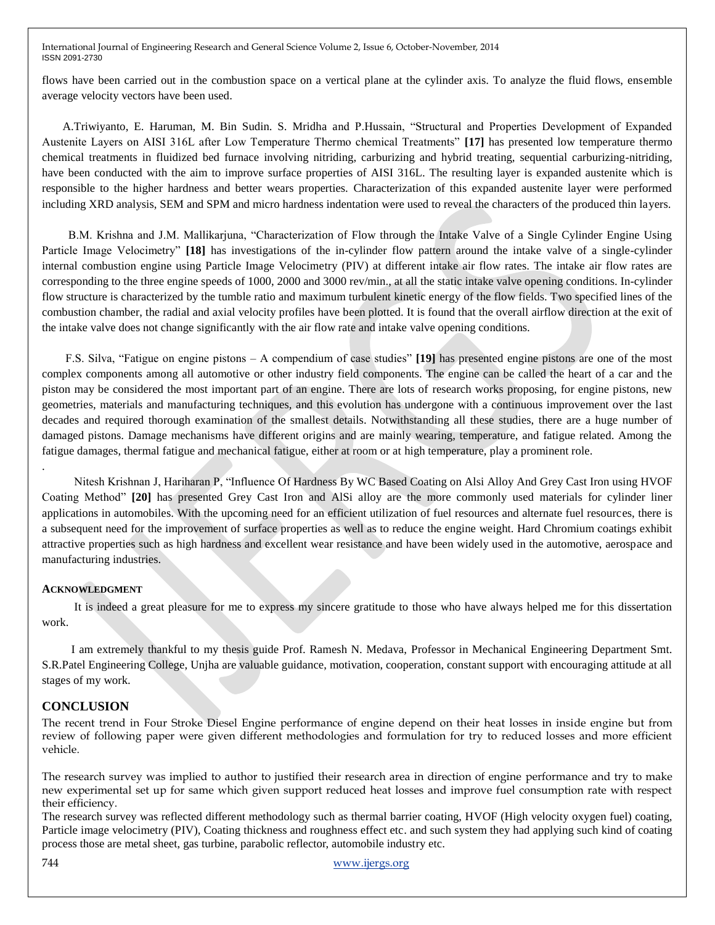flows have been carried out in the combustion space on a vertical plane at the cylinder axis. To analyze the fluid flows, ensemble average velocity vectors have been used.

 A.Triwiyanto, E. Haruman, M. Bin Sudin. S. Mridha and P.Hussain, "Structural and Properties Development of Expanded Austenite Layers on AISI 316L after Low Temperature Thermo chemical Treatments" **[17]** has presented low temperature thermo chemical treatments in fluidized bed furnace involving nitriding, carburizing and hybrid treating, sequential carburizing-nitriding, have been conducted with the aim to improve surface properties of AISI 316L. The resulting layer is expanded austenite which is responsible to the higher hardness and better wears properties. Characterization of this expanded austenite layer were performed including XRD analysis, SEM and SPM and micro hardness indentation were used to reveal the characters of the produced thin layers.

 B.M. Krishna and J.M. Mallikarjuna, "Characterization of Flow through the Intake Valve of a Single Cylinder Engine Using Particle Image Velocimetry" **[18]** has investigations of the in-cylinder flow pattern around the intake valve of a single-cylinder internal combustion engine using Particle Image Velocimetry (PIV) at different intake air flow rates. The intake air flow rates are corresponding to the three engine speeds of 1000, 2000 and 3000 rev/min., at all the static intake valve opening conditions. In-cylinder flow structure is characterized by the tumble ratio and maximum turbulent kinetic energy of the flow fields. Two specified lines of the combustion chamber, the radial and axial velocity profiles have been plotted. It is found that the overall airflow direction at the exit of the intake valve does not change significantly with the air flow rate and intake valve opening conditions.

 F.S. Silva, "Fatigue on engine pistons – A compendium of case studies" **[19]** has presented engine pistons are one of the most complex components among all automotive or other industry field components. The engine can be called the heart of a car and the piston may be considered the most important part of an engine. There are lots of research works proposing, for engine pistons, new geometries, materials and manufacturing techniques, and this evolution has undergone with a continuous improvement over the last decades and required thorough examination of the smallest details. Notwithstanding all these studies, there are a huge number of damaged pistons. Damage mechanisms have different origins and are mainly wearing, temperature, and fatigue related. Among the fatigue damages, thermal fatigue and mechanical fatigue, either at room or at high temperature, play a prominent role.

 Nitesh Krishnan J, Hariharan P, "Influence Of Hardness By WC Based Coating on Alsi Alloy And Grey Cast Iron using HVOF Coating Method" **[20]** has presented Grey Cast Iron and AlSi alloy are the more commonly used materials for cylinder liner applications in automobiles. With the upcoming need for an efficient utilization of fuel resources and alternate fuel resources, there is a subsequent need for the improvement of surface properties as well as to reduce the engine weight. Hard Chromium coatings exhibit attractive properties such as high hardness and excellent wear resistance and have been widely used in the automotive, aerospace and manufacturing industries.

### **ACKNOWLEDGMENT**

.

 It is indeed a great pleasure for me to express my sincere gratitude to those who have always helped me for this dissertation work.

 I am extremely thankful to my thesis guide Prof. Ramesh N. Medava, Professor in Mechanical Engineering Department Smt. S.R.Patel Engineering College, Unjha are valuable guidance, motivation, cooperation, constant support with encouraging attitude at all stages of my work.

## **CONCLUSION**

The recent trend in Four Stroke Diesel Engine performance of engine depend on their heat losses in inside engine but from review of following paper were given different methodologies and formulation for try to reduced losses and more efficient vehicle.

The research survey was implied to author to justified their research area in direction of engine performance and try to make new experimental set up for same which given support reduced heat losses and improve fuel consumption rate with respect their efficiency.

The research survey was reflected different methodology such as thermal barrier coating, HVOF (High velocity oxygen fuel) coating, Particle image velocimetry (PIV), Coating thickness and roughness effect etc. and such system they had applying such kind of coating process those are metal sheet, gas turbine, parabolic reflector, automobile industry etc.

744 [www.ijergs.org](http://www.ijergs.org/)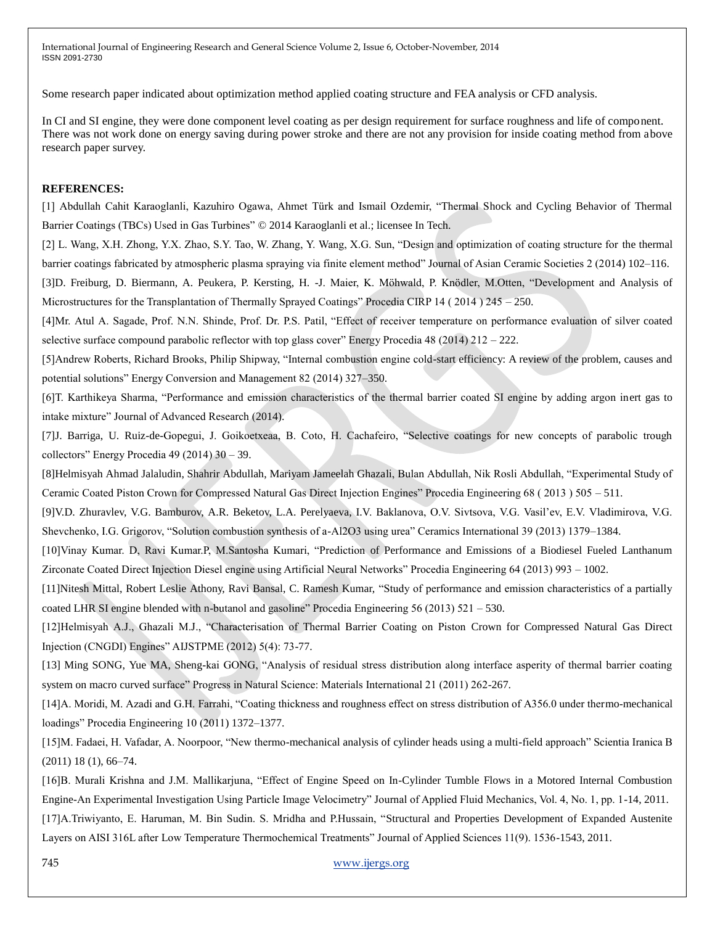Some research paper indicated about optimization method applied coating structure and FEA analysis or CFD analysis.

In CI and SI engine, they were done component level coating as per design requirement for surface roughness and life of component. There was not work done on energy saving during power stroke and there are not any provision for inside coating method from above research paper survey.

#### **REFERENCES:**

[1] Abdullah Cahit Karaoglanli, Kazuhiro Ogawa, Ahmet Türk and Ismail Ozdemir, "Thermal Shock and Cycling Behavior of Thermal Barrier Coatings (TBCs) Used in Gas Turbines" © 2014 Karaoglanli et al.; licensee In Tech.

[2] L. Wang, X.H. Zhong, Y.X. Zhao, S.Y. Tao, W. Zhang, Y. Wang, X.G. Sun, "Design and optimization of coating structure for the thermal barrier coatings fabricated by atmospheric plasma spraying via finite element method" Journal of Asian Ceramic Societies 2 (2014) 102–116.

[3]D. Freiburg, D. Biermann, A. Peukera, P. Kersting, H. -J. Maier, K. Möhwald, P. Knödler, M.Otten, "Development and Analysis of Microstructures for the Transplantation of Thermally Sprayed Coatings" Procedia CIRP 14 ( 2014 ) 245 – 250.

[4]Mr. Atul A. Sagade, Prof. N.N. Shinde, Prof. Dr. P.S. Patil, "Effect of receiver temperature on performance evaluation of silver coated selective surface compound parabolic reflector with top glass cover" Energy Procedia 48 (2014) 212 – 222.

[5]Andrew Roberts, Richard Brooks, Philip Shipway, "Internal combustion engine cold-start efficiency: A review of the problem, causes and potential solutions" Energy Conversion and Management 82 (2014) 327–350.

[6]T. Karthikeya Sharma, "Performance and emission characteristics of the thermal barrier coated SI engine by adding argon inert gas to intake mixture" Journal of Advanced Research (2014).

[7]J. Barriga, U. Ruiz-de-Gopegui, J. Goikoetxeaa, B. Coto, H. Cachafeiro, "Selective coatings for new concepts of parabolic trough collectors" Energy Procedia 49 (2014) 30 – 39.

[8]Helmisyah Ahmad Jalaludin, Shahrir Abdullah, Mariyam Jameelah Ghazali, Bulan Abdullah, Nik Rosli Abdullah, "Experimental Study of Ceramic Coated Piston Crown for Compressed Natural Gas Direct Injection Engines" Procedia Engineering 68 ( 2013 ) 505 – 511.

[9]V.D. Zhuravlev, V.G. Bamburov, A.R. Beketov, L.A. Perelyaeva, I.V. Baklanova, O.V. Sivtsova, V.G. Vasil'ev, E.V. Vladimirova, V.G. Shevchenko, I.G. Grigorov, "Solution combustion synthesis of a-Al2O3 using urea" Ceramics International 39 (2013) 1379–1384.

[10]Vinay Kumar. D, Ravi Kumar.P, M.Santosha Kumari, "Prediction of Performance and Emissions of a Biodiesel Fueled Lanthanum Zirconate Coated Direct Injection Diesel engine using Artificial Neural Networks" Procedia Engineering 64 (2013) 993 – 1002.

[11]Nitesh Mittal, Robert Leslie Athony, Ravi Bansal, C. Ramesh Kumar, "Study of performance and emission characteristics of a partially coated LHR SI engine blended with n-butanol and gasoline" Procedia Engineering 56 (2013) 521 – 530.

[12]Helmisyah A.J., Ghazali M.J., "Characterisation of Thermal Barrier Coating on Piston Crown for Compressed Natural Gas Direct Injection (CNGDI) Engines" AIJSTPME (2012) 5(4): 73-77.

[13] Ming SONG, Yue MA, Sheng-kai GONG, "Analysis of residual stress distribution along interface asperity of thermal barrier coating system on macro curved surface" Progress in Natural Science: Materials International 21 (2011) 262-267.

[14]A. Moridi, M. Azadi and G.H. Farrahi, "Coating thickness and roughness effect on stress distribution of A356.0 under thermo-mechanical loadings" Procedia Engineering 10 (2011) 1372–1377.

[15]M. Fadaei, H. Vafadar, A. Noorpoor, "New thermo-mechanical analysis of cylinder heads using a multi-field approach" Scientia Iranica B (2011) 18 (1), 66–74.

[16]B. Murali Krishna and J.M. Mallikarjuna, "Effect of Engine Speed on In-Cylinder Tumble Flows in a Motored Internal Combustion Engine-An Experimental Investigation Using Particle Image Velocimetry" Journal of Applied Fluid Mechanics, Vol. 4, No. 1, pp. 1-14, 2011. [17]A.Triwiyanto, E. Haruman, M. Bin Sudin. S. Mridha and P.Hussain, "Structural and Properties Development of Expanded Austenite Layers on AISI 316L after Low Temperature Thermochemical Treatments" Journal of Applied Sciences 11(9). 1536-1543, 2011.